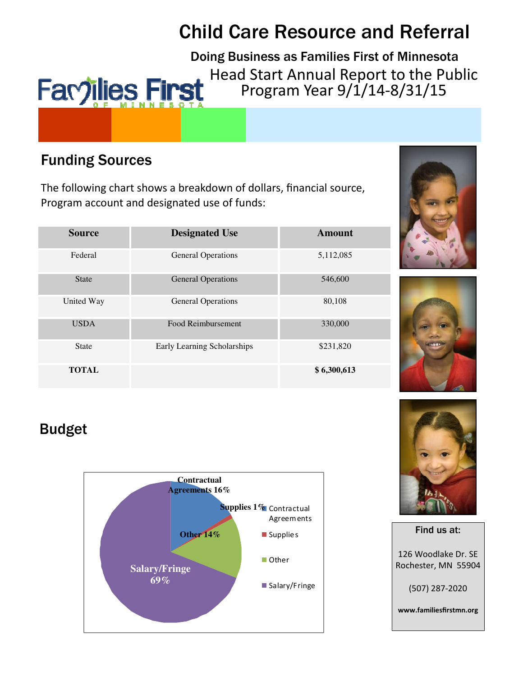# **Child Care Resource and Referral**

Doing Business as Families First of Minnesota Head Start Annual Report to the Public Favjilies First Program Year 9/1/14-8/31/15

# **Funding Sources**

The following chart shows a breakdown of dollars, financial source, Program account and designated use of funds:

| <b>Source</b> | <b>Designated Use</b>       | Amount      |
|---------------|-----------------------------|-------------|
| Federal       | <b>General Operations</b>   | 5,112,085   |
| <b>State</b>  | <b>General Operations</b>   | 546,600     |
| United Way    | <b>General Operations</b>   | 80,108      |
| <b>USDA</b>   | Food Reimbursement          | 330,000     |
| <b>State</b>  | Early Learning Scholarships | \$231,820   |
| <b>TOTAL</b>  |                             | \$6,300,613 |





# **Budget**





Find us at: 126 Woodlake Dr. SE Rochester, MN 55904 (507) 287-2020

www.familiesfirstmn.org